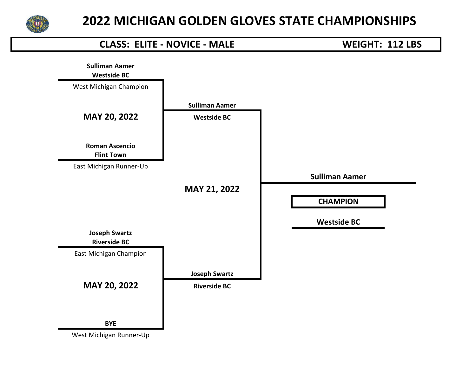

## **Westside BC CLASS: ELITE - NOVICE - MALE WEIGHT: 112 LBS Sulliman Aamer** West Michigan Champion **Sulliman Aamer MAY 20, 2022 Westside BC Roman Ascencio Flint Town** East Michigan Runner-Up **Sulliman Aamer MAY 21, 2022 CHAMPION MAY 20, 2022 Riverside BC Westside BC Joseph Swartz Riverside BC** East Michigan Champion **Joseph Swartz BYE**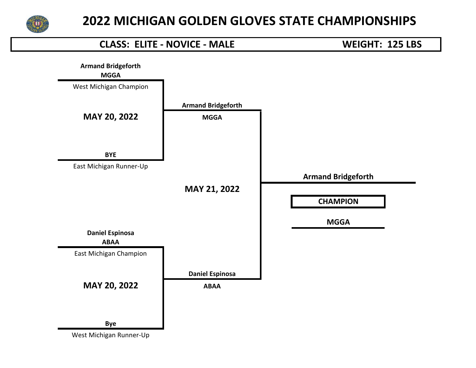

# **MGGA CLASS: ELITE - NOVICE - MALE WEIGHT: 125 LBS Armand Bridgeforth** West Michigan Champion **Armand Bridgeforth MAY 20, 2022 MGGA BYE** East Michigan Runner-Up **Armand Bridgeforth MAY 21, 2022 CHAMPION MAY 20, 2022 ABAA MGGA Daniel Espinosa ABAA** East Michigan Champion **Daniel Espinosa Bye**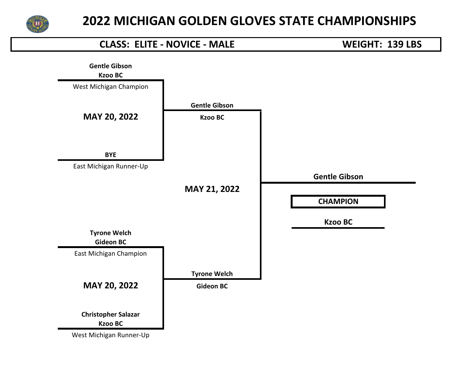

## **Kzoo BC CLASS: ELITE - NOVICE - MALE WEIGHT: 139 LBS Gentle Gibson** West Michigan Champion **Gentle Gibson MAY 20, 2022 Kzoo BC BYE** East Michigan Runner-Up **Gentle Gibson MAY 21, 2022 CHAMPION MAY 20, 2022 Gideon BC Kzoo BC Tyrone Welch Gideon BC** East Michigan Champion **Tyrone Welch Christopher Salazar Kzoo BC** West Michigan Runner-Up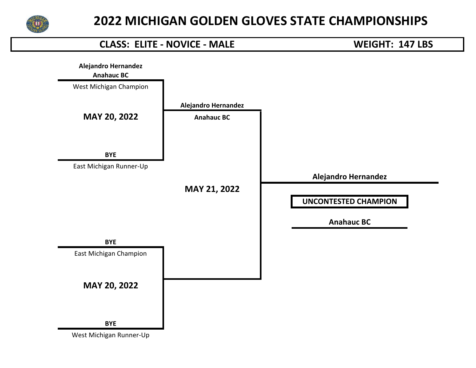

# **Anahauc BC CLASS: ELITE - NOVICE - MALE WEIGHT: 147 LBS Alejandro Hernandez** West Michigan Champion **Alejandro Hernandez MAY 20, 2022 Anahauc BC BYE** East Michigan Runner-Up **Alejandro Hernandez MAY 21, 2022 UNCONTESTED CHAMPION MAY 20, 2022 Anahauc BC BYE** East Michigan Champion **BYE**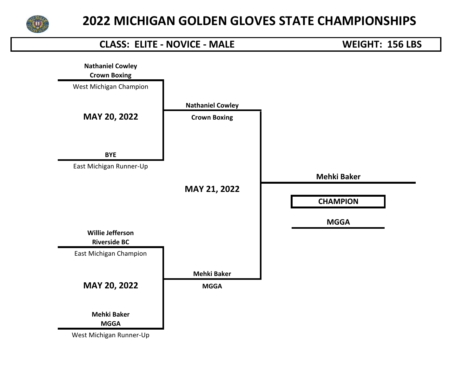

## **Crown Boxing CLASS: ELITE - NOVICE - MALE WEIGHT: 156 LBS Nathaniel Cowley** West Michigan Champion **Nathaniel Cowley MAY 20, 2022 Crown Boxing BYE** East Michigan Runner-Up **Mehki Baker MAY 21, 2022 CHAMPION MAY 20, 2022 MGGA MGGA Willie Jefferson Riverside BC** East Michigan Champion **Mehki Baker Mehki Baker MGGA**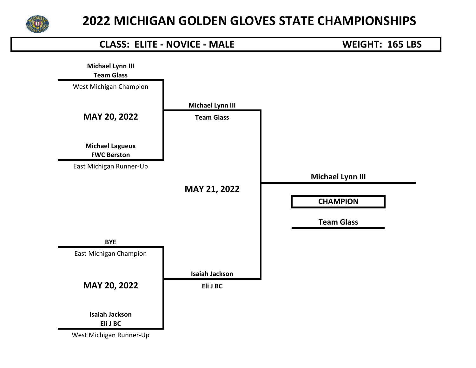

## **Team Glass CLASS: ELITE - NOVICE - MALE WEIGHT: 165 LBS Michael Lynn III** West Michigan Champion **Michael Lynn III MAY 20, 2022 Team Glass Michael Lagueux FWC Berston** East Michigan Runner-Up **Michael Lynn III MAY 21, 2022 CHAMPION MAY 20, 2022 Eli J BC Team Glass BYE** East Michigan Champion **Isaiah Jackson Isaiah Jackson Eli J BC** West Michigan Runner-Up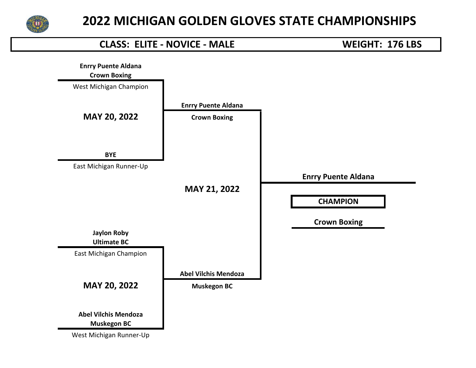

## **Crown Boxing CLASS: ELITE - NOVICE - MALE WEIGHT: 176 LBS Enrry Puente Aldana** West Michigan Champion **Enrry Puente Aldana MAY 20, 2022 Crown Boxing BYE** East Michigan Runner-Up **Enrry Puente Aldana MAY 21, 2022 CHAMPION MAY 20, 2022 Muskegon BC Crown Boxing Jaylon Roby Ultimate BC** East Michigan Champion **Abel Vilchis Mendoza Abel Vilchis Mendoza Muskegon BC**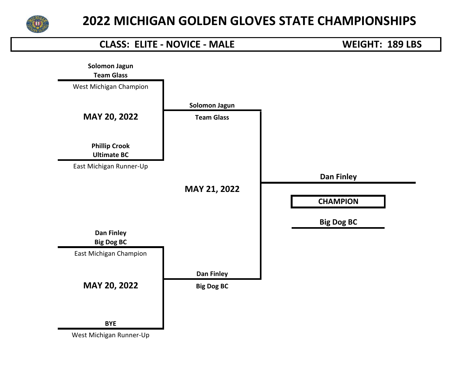

## **Team Glass CLASS: ELITE - NOVICE - MALE WEIGHT: 189 LBS Solomon Jagun** West Michigan Champion **Solomon Jagun MAY 20, 2022 Team Glass Phillip Crook Ultimate BC** East Michigan Runner-Up **Dan Finley MAY 21, 2022 CHAMPION MAY 20, 2022 Big Dog BC Big Dog BC Dan Finley Big Dog BC** East Michigan Champion **Dan Finley BYE**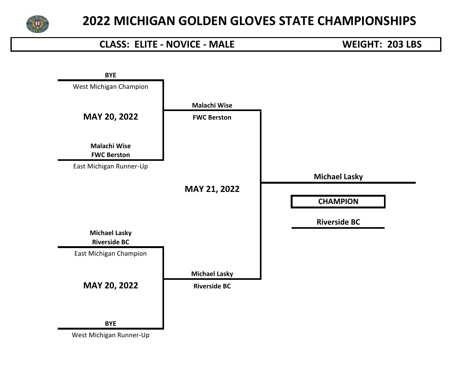

#### **CLASS: ELITE - NOVICE - MALE WEIGHT: 203 LBS**

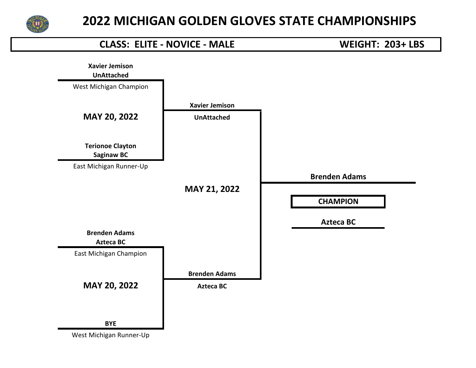

#### **CLASS: ELITE - NOVICE - MALE WEIGHT: 203+ LBS**

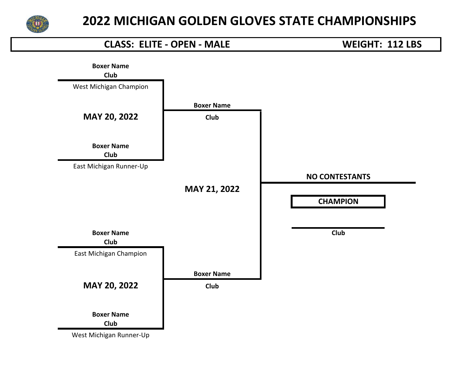

#### **CLASS: ELITE - OPEN - MALE WEIGHT: 112 LBS**

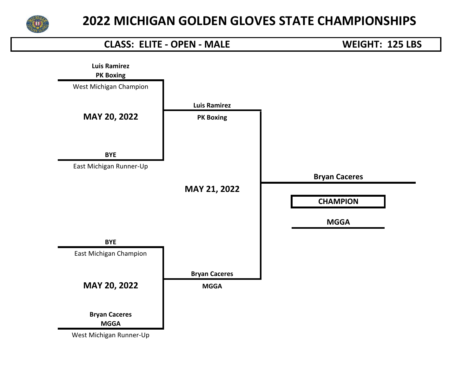

#### **CLASS: ELITE - OPEN - MALE WEIGHT: 125 LBS**

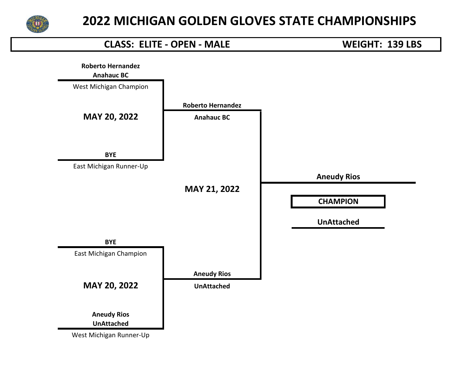

#### **CLASS: ELITE - OPEN - MALE WEIGHT: 139 LBS**

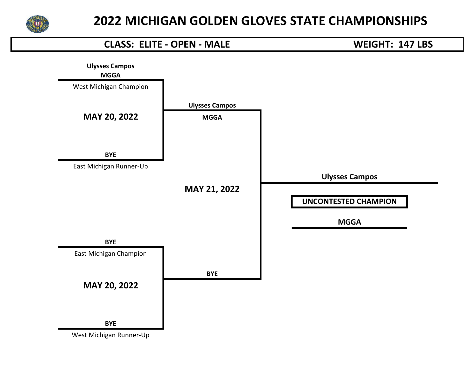

#### **CLASS: ELITE - OPEN - MALE WEIGHT: 147 LBS**

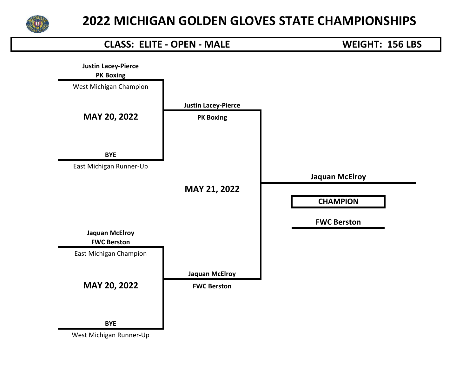

#### **CLASS: ELITE - OPEN - MALE WEIGHT: 156 LBS**

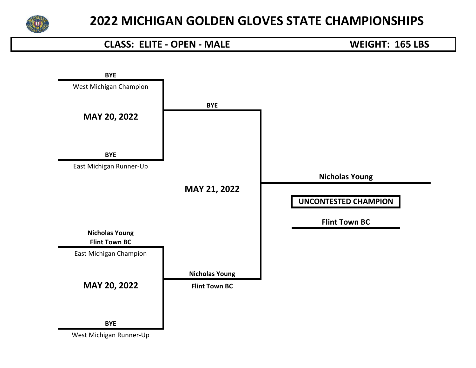

#### **CLASS: ELITE - OPEN - MALE WEIGHT: 165 LBS**

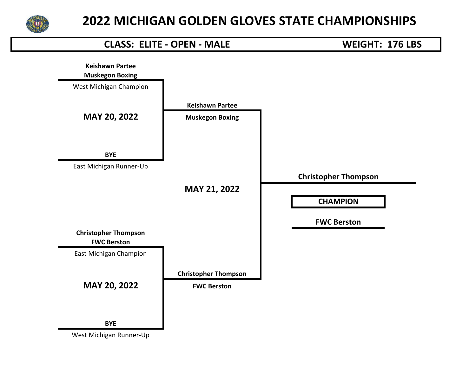

#### **CLASS: ELITE - OPEN - MALE WEIGHT: 176 LBS**

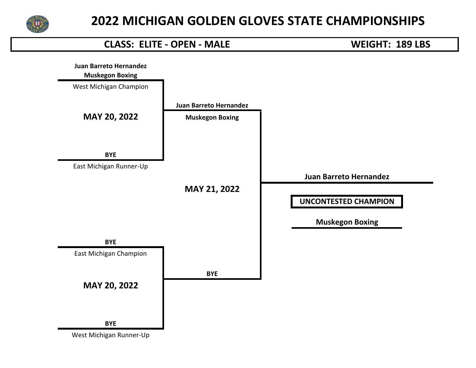

#### **CLASS: ELITE - OPEN - MALE WEIGHT: 189 LBS**

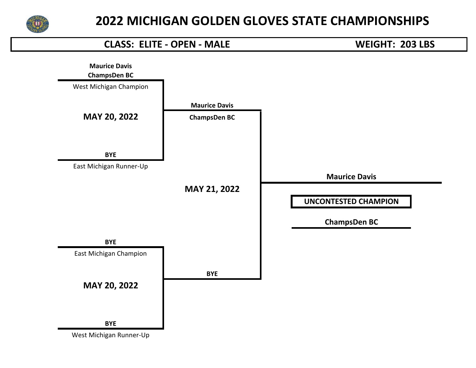

#### **CLASS: ELITE - OPEN - MALE WEIGHT: 203 LBS**

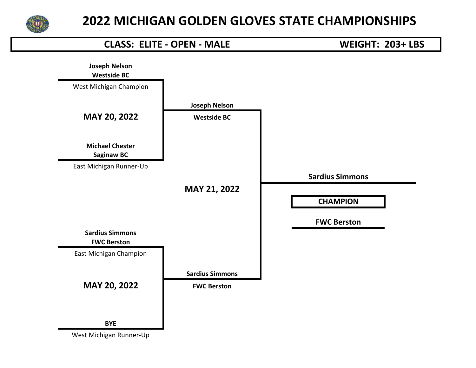

#### **CLASS: ELITE - OPEN - MALE WEIGHT: 203+ LBS**

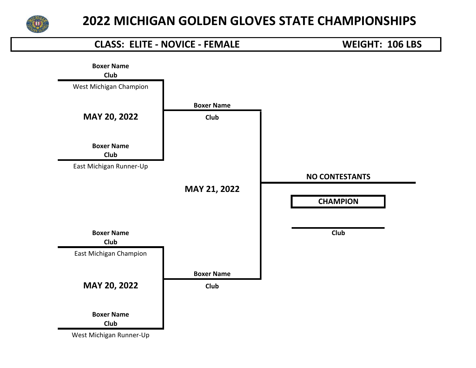

## **Club CLASS: ELITE - NOVICE - FEMALE WEIGHT: 106 LBS Boxer Name** West Michigan Champion **Boxer Name MAY 20, 2022 Club Boxer Name Club** East Michigan Runner-Up **NO CONTESTANTS MAY 21, 2022 CHAMPION MAY 20, 2022 Club Boxer Name Club Club** East Michigan Champion **Boxer Name Boxer Name Club**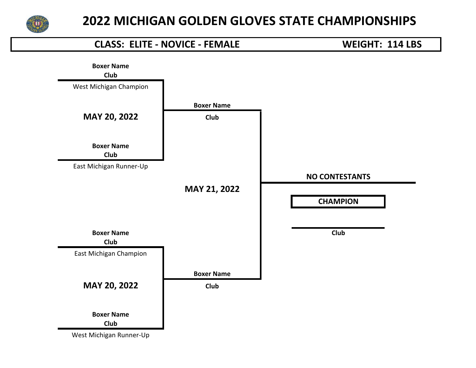

## **Club CLASS: ELITE - NOVICE - FEMALE WEIGHT: 114 LBS Boxer Name** West Michigan Champion **Boxer Name MAY 20, 2022 Club Boxer Name Club** East Michigan Runner-Up **NO CONTESTANTS MAY 21, 2022 CHAMPION MAY 20, 2022 Club Boxer Name Club Club** East Michigan Champion **Boxer Name Boxer Name Club**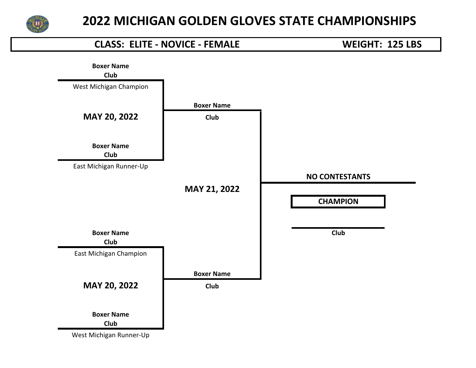

## **Club CLASS: ELITE - NOVICE - FEMALE WEIGHT: 125 LBS Boxer Name** West Michigan Champion **Boxer Name MAY 20, 2022 Club Boxer Name Club** East Michigan Runner-Up **NO CONTESTANTS MAY 21, 2022 CHAMPION MAY 20, 2022 Club Boxer Name Club Club** East Michigan Champion **Boxer Name Boxer Name Club**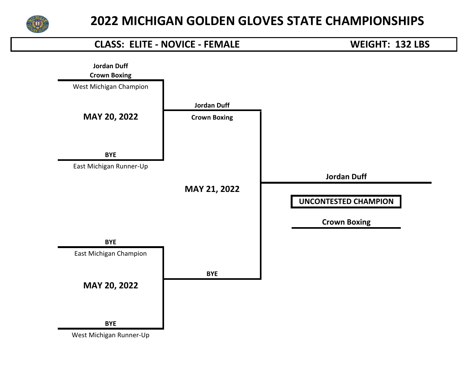

# **Crown Boxing CLASS: ELITE - NOVICE - FEMALE WEIGHT: 132 LBS Jordan Duff** West Michigan Champion **Jordan Duff MAY 20, 2022 Crown Boxing BYE** East Michigan Runner-Up **Jordan Duff MAY 21, 2022 UNCONTESTED CHAMPION MAY 20, 2022 Crown Boxing BYE** East Michigan Champion **BYE BYE** West Michigan Runner-Up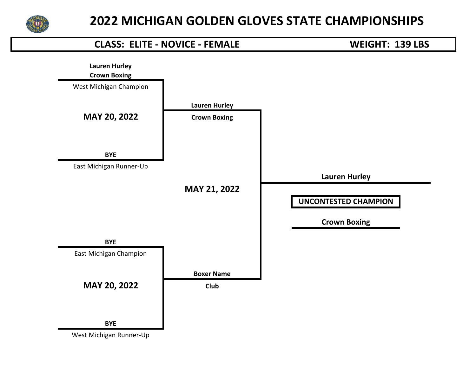

# **Crown Boxing CLASS: ELITE - NOVICE - FEMALE WEIGHT: 139 LBS Lauren Hurley** West Michigan Champion **Lauren Hurley MAY 20, 2022 Crown Boxing BYE** East Michigan Runner-Up **Lauren Hurley MAY 21, 2022 UNCONTESTED CHAMPION MAY 20, 2022 Club Crown Boxing BYE** East Michigan Champion **Boxer Name BYE**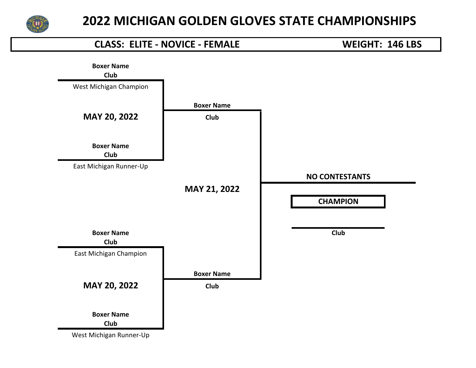

## **Club CLASS: ELITE - NOVICE - FEMALE WEIGHT: 146 LBS Boxer Name** West Michigan Champion **Boxer Name MAY 20, 2022 Club Boxer Name Club** East Michigan Runner-Up **NO CONTESTANTS MAY 21, 2022 CHAMPION MAY 20, 2022 Club Boxer Name Club Club** East Michigan Champion **Boxer Name Boxer Name Club**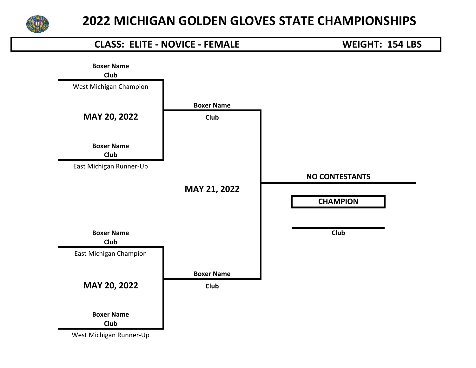

## **Club CLASS: ELITE - NOVICE - FEMALE WEIGHT: 154 LBS Boxer Name** West Michigan Champion **Boxer Name MAY 20, 2022 Club Boxer Name Club** East Michigan Runner-Up **NO CONTESTANTS MAY 21, 2022 CHAMPION MAY 20, 2022 Club Boxer Name Club Club** East Michigan Champion **Boxer Name Boxer Name Club**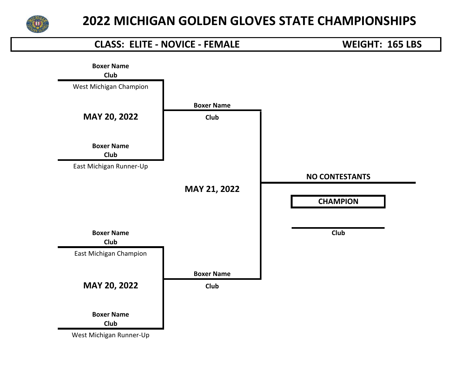

## **Club CLASS: ELITE - NOVICE - FEMALE WEIGHT: 165 LBS Boxer Name** West Michigan Champion **Boxer Name MAY 20, 2022 Club Boxer Name Club** East Michigan Runner-Up **NO CONTESTANTS MAY 21, 2022 CHAMPION MAY 20, 2022 Club Boxer Name Club Club** East Michigan Champion **Boxer Name Boxer Name Club**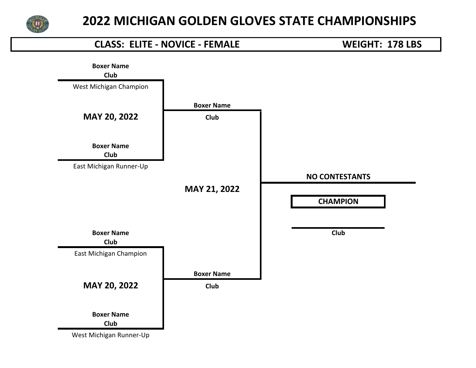

## **Club CLASS: ELITE - NOVICE - FEMALE WEIGHT: 178 LBS Boxer Name** West Michigan Champion **Boxer Name MAY 20, 2022 Club Boxer Name Club** East Michigan Runner-Up **NO CONTESTANTS MAY 21, 2022 CHAMPION MAY 20, 2022 Club Boxer Name Club Club** East Michigan Champion **Boxer Name Boxer Name Club**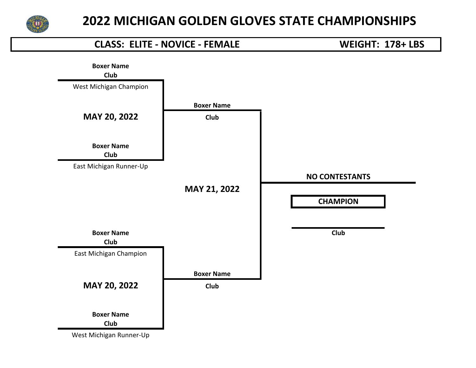

## **Club CLASS: ELITE - NOVICE - FEMALE WEIGHT: 178+ LBS Boxer Name** West Michigan Champion **Boxer Name MAY 20, 2022 Club Boxer Name Club** East Michigan Runner-Up **NO CONTESTANTS MAY 21, 2022 CHAMPION MAY 20, 2022 Club Boxer Name Club Club** East Michigan Champion **Boxer Name Boxer Name Club**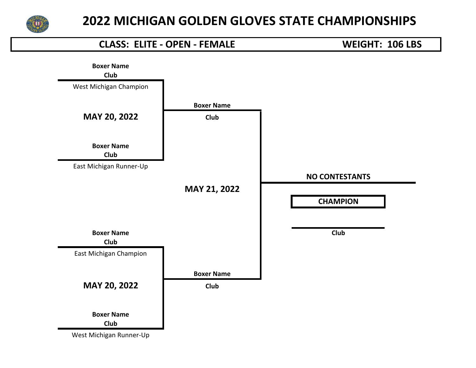

#### **CLASS: ELITE - OPEN - FEMALE WEIGHT: 106 LBS**

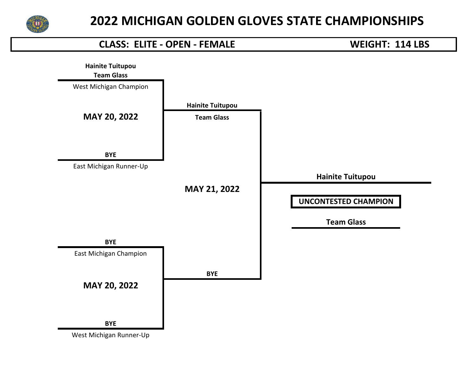

#### **CLASS: ELITE - OPEN - FEMALE WEIGHT: 114 LBS**

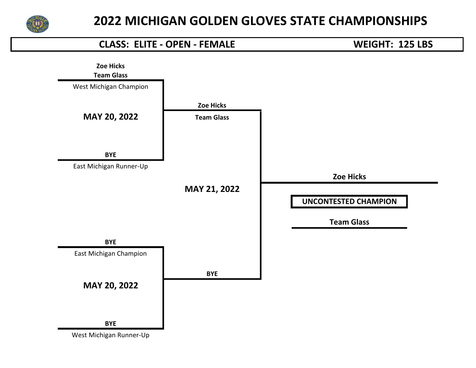

#### **CLASS: ELITE - OPEN - FEMALE WEIGHT: 125 LBS**

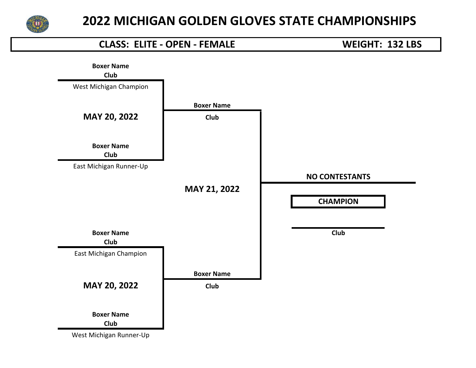

#### **CLASS: ELITE - OPEN - FEMALE WEIGHT: 132 LBS**

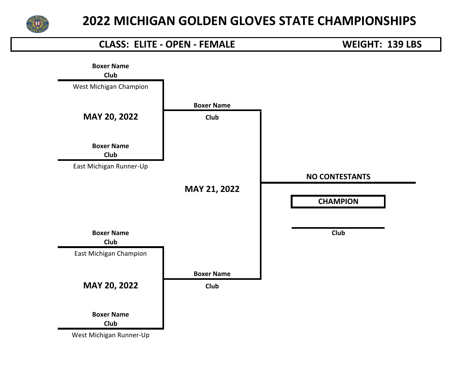

#### **CLASS: ELITE - OPEN - FEMALE WEIGHT: 139 LBS**

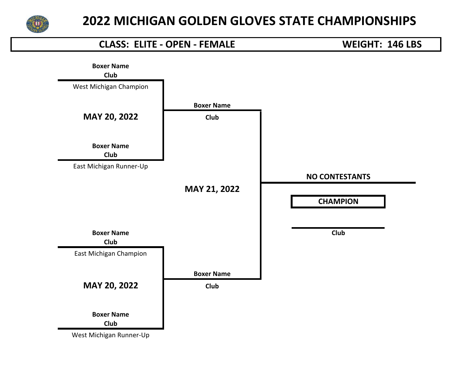

#### **CLASS: ELITE - OPEN - FEMALE WEIGHT: 146 LBS**

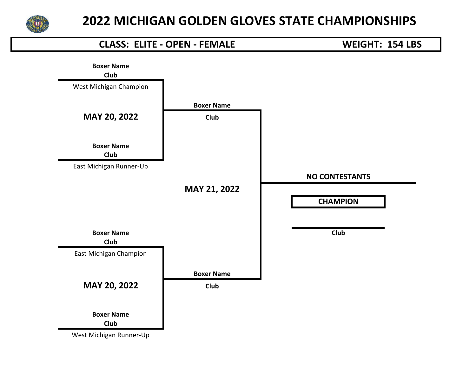

#### **CLASS: ELITE - OPEN - FEMALE WEIGHT: 154 LBS**

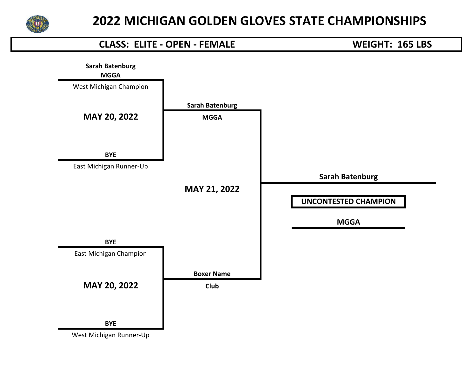

#### **CLASS: ELITE - OPEN - FEMALE WEIGHT: 165 LBS**

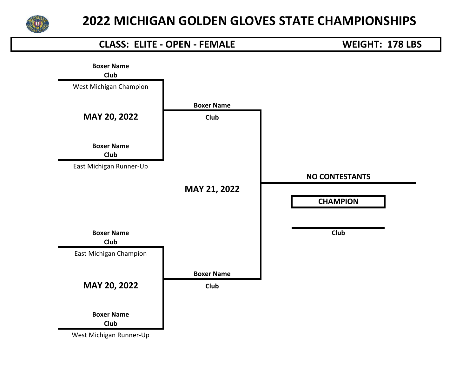

#### **CLASS: ELITE - OPEN - FEMALE WEIGHT: 178 LBS**